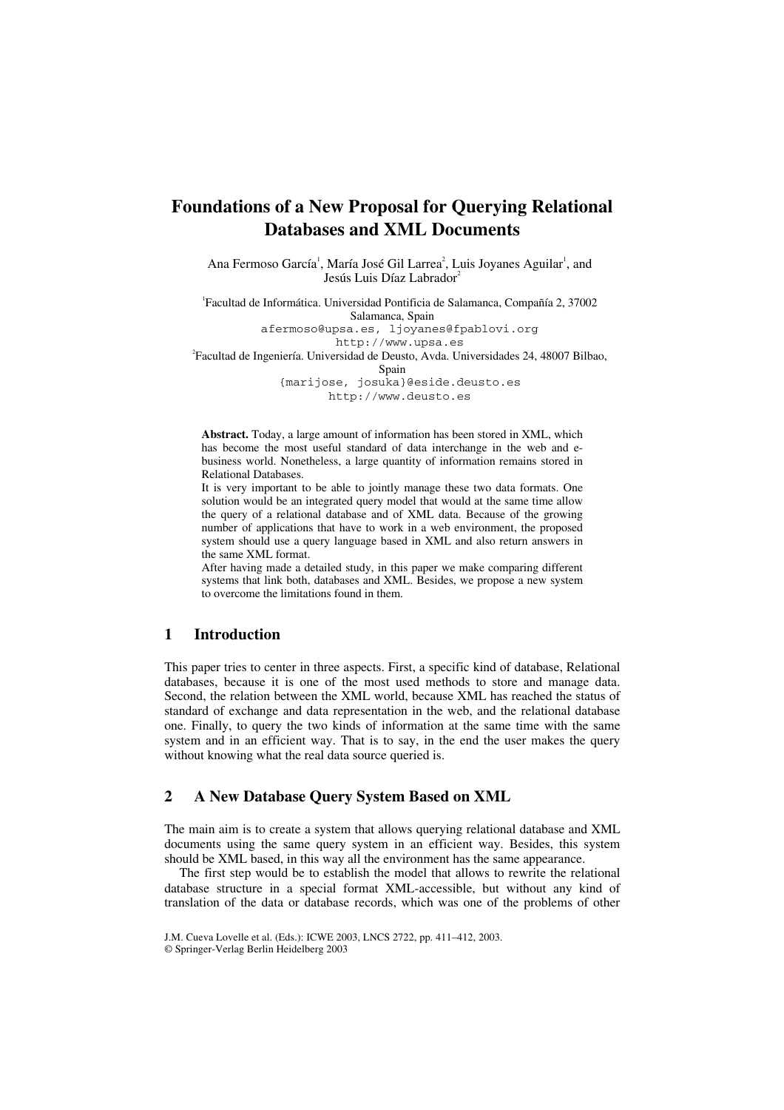## **Foundations of a New Proposal for Querying Relational Databases and XML Documents**

Ana Fermoso García<sup>1</sup>, María José Gil Larrea<sup>2</sup>, Luis Joyanes Aguilar<sup>1</sup>, and Jesús Luis Díaz Labrador<sup>2</sup>

1 Facultad de Informática. Universidad Pontificia de Salamanca, Compañía 2, 37002 Salamanca, Spain afermoso@upsa.es, ljoyanes@fpablovi.org http://www.upsa.es 2 Facultad de Ingeniería. Universidad de Deusto, Avda. Universidades 24, 48007 Bilbao, Spain {marijose, josuka}@eside.deusto.es http://www.deusto.es

**Abstract.** Today, a large amount of information has been stored in XML, which has become the most useful standard of data interchange in the web and ebusiness world. Nonetheless, a large quantity of information remains stored in Relational Databases.

It is very important to be able to jointly manage these two data formats. One solution would be an integrated query model that would at the same time allow the query of a relational database and of XML data. Because of the growing number of applications that have to work in a web environment, the proposed system should use a query language based in XML and also return answers in the same XML format.

After having made a detailed study, in this paper we make comparing different systems that link both, databases and XML. Besides, we propose a new system to overcome the limitations found in them.

## **1 Introduction**

This paper tries to center in three aspects. First, a specific kind of database, Relational databases, because it is one of the most used methods to store and manage data. Second, the relation between the XML world, because XML has reached the status of standard of exchange and data representation in the web, and the relational database one. Finally, to query the two kinds of information at the same time with the same system and in an efficient way. That is to say, in the end the user makes the query without knowing what the real data source queried is.

## **2 A New Database Query System Based on XML**

The main aim is to create a system that allows querying relational database and XML documents using the same query system in an efficient way. Besides, this system should be XML based, in this way all the environment has the same appearance.

The first step would be to establish the model that allows to rewrite the relational database structure in a special format XML-accessible, but without any kind of translation of the data or database records, which was one of the problems of other